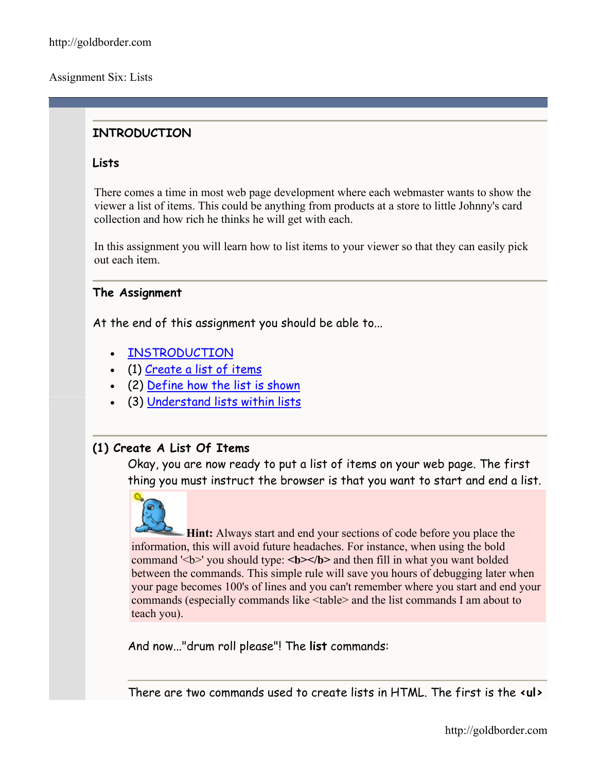Assignment Six: Lists

# **INTRODUCTION**

### **Lists**

There comes a time in most web page development where each webmaster wants to show the viewer a list of items. This could be anything from products at a store to little Johnny's card collection and how rich he thinks he will get with each.

In this assignment you will learn how to list items to your viewer so that they can easily pick out each item.

### **The Assignment**

At the end of this assignment you should be able to...

- [INSTRODUCTION](http://goldborder.com/htmlguide/assign6.htm)
- (1) [Create a list of items](http://goldborder.com/htmlguide/assign6.htm)
- (2) [Define how the list is shown](http://goldborder.com/htmlguide/assign6.htm)
- (3) [Understand lists within lists](http://goldborder.com/htmlguide/assign6.htm)

## **(1) Create A List Of Items**

Okay, you are now ready to put a list of items on your web page. The first thing you must instruct the browser is that you want to start and end a list.

**Hint:** Always start and end your sections of code before you place the information, this will avoid future headaches. For instance, when using the bold command '<b>' you should type: <br/>b>>>>>> and then fill in what you want bolded between the commands. This simple rule will save you hours of debugging later when your page becomes 100's of lines and you can't remember where you start and end your commands (especially commands like <table> and the list commands I am about to teach you).

And now..."drum roll please"! The **list** commands:

There are two commands used to create lists in HTML. The first is the **<ul>**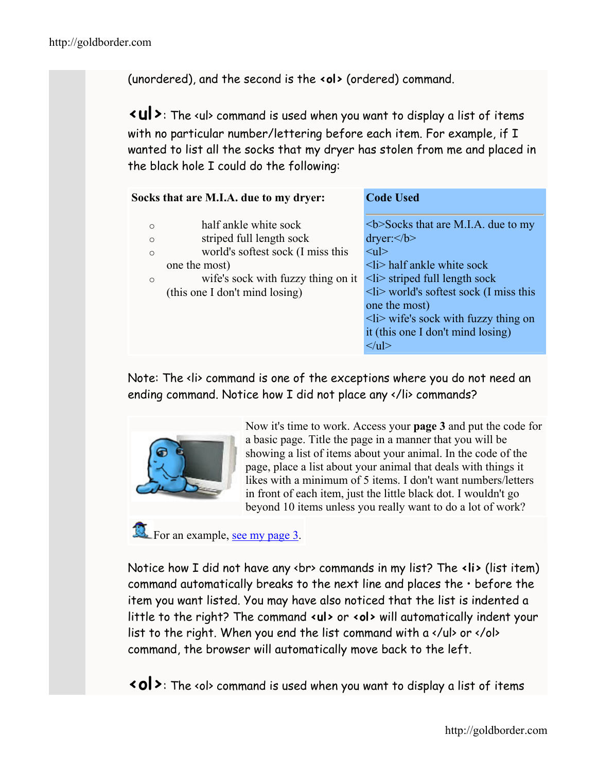(unordered), and the second is the **<ol>** (ordered) command.

**<ul>**: The <ul> command is used when you want to display a list of items with no particular number/lettering before each item. For example, if I wanted to list all the socks that my dryer has stolen from me and placed in the black hole I could do the following:

| Socks that are M.I.A. due to my dryer: | <b>Code Used</b>                                |
|----------------------------------------|-------------------------------------------------|
| half ankle white sock                  | $5$ -Socks that are M.I.A. due to my            |
| $\circ$                                | $\text{dryer:}\le b$                            |
| striped full length sock               | $\langle \text{ul} \rangle$                     |
| $\circ$                                | $\langle$ li half ankle white sock              |
| world's softest sock (I miss this      | $\langle$ li $\rangle$ striped full length sock |
| $\circ$                                | $\langle$ li> world's softest sock (I miss this |
| one the most)                          | one the most)                                   |
| wife's sock with fuzzy thing on it     | $\langle$ li wife's sock with fuzzy thing on    |
| $\circ$                                | it (this one I don't mind losing)               |
| (this one I don't mind losing)         | $\langle \rangle$ ul>                           |

Note: The <li> command is one of the exceptions where you do not need an ending command. Notice how I did not place any </li> commands?



Now it's time to work. Access your **page 3** and put the code for a basic page. Title the page in a manner that you will be showing a list of items about your animal. In the code of the page, place a list about your animal that deals with things it likes with a minimum of 5 items. I don't want numbers/letters in front of each item, just the little black dot. I wouldn't go beyond 10 items unless you really want to do a lot of work?

For an example, [see my page 3](http://goldborder.com/htmlguide/dave3.htm).

Notice how I did not have any <br> commands in my list? The **<li>** (list item) command automatically breaks to the next line and places the • before the item you want listed. You may have also noticed that the list is indented a little to the right? The command **<ul>** or **<ol>** will automatically indent your list to the right. When you end the list command with a  $\langle u \rangle$  or  $\langle v \rangle$ command, the browser will automatically move back to the left.

**<ol>**: The <ol> command is used when you want to display a list of items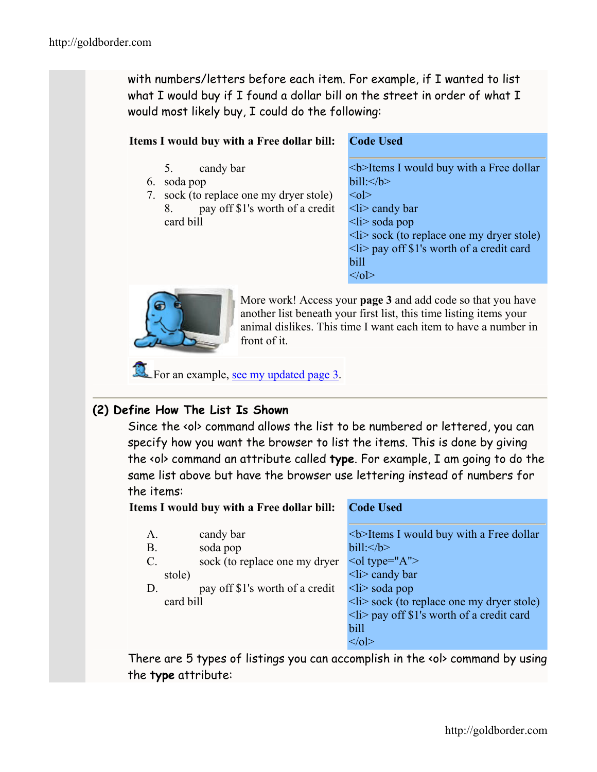with numbers/letters before each item. For example, if I wanted to list what I would buy if I found a dollar bill on the street in order of what I would most likely buy, I could do the following:

#### **Items I would buy with a Free dollar bill: Code Used**

- 5. candy bar
- 6. soda pop
- 7. sock (to replace one my dryer stole) 8. pay off \$1's worth of a credit card bill

<b>Items I would buy with a Free dollar  $b$ ill: $\langle b \rangle$  $\leq$  ol $>$  $\langle$ li $\rangle$  candy bar  $\langle$ li $\rangle$  soda pop  $\langle$ li $>$ sock (to replace one my dryer stole)  $\langle$ li> pay off \$1's worth of a credit card bill  $<|0|$ 



More work! Access your **page 3** and add code so that you have another list beneath your first list, this time listing items your animal dislikes. This time I want each item to have a number in front of it.

For an example, [see my updated page 3](http://goldborder.com/htmlguide/dave3b.htm).

## **(2) Define How The List Is Shown**

Since the <ol> command allows the list to be numbered or lettered, you can specify how you want the browser to list the items. This is done by giving the <ol> command an attribute called **type**. For example, I am going to do the same list above but have the browser use lettering instead of numbers for the items:

**Items I would buy with a Free dollar bill: Code Used**

| candy bar                       | <b>Items I would buy with a Free dollar</b>         |
|---------------------------------|-----------------------------------------------------|
| soda pop                        | bill: < <b>b</b>                                    |
| sock (to replace one my dryer   | <ol type="A"></ol>                                  |
| stole)                          | $\langle$ li> candy bar                             |
| pay off \$1's worth of a credit | $\langle i \rangle$ soda pop                        |
| card bill                       | $\langle$ li> sock (to replace one my dryer stole)  |
|                                 | $\langle$ li > pay off \$1's worth of a credit card |
|                                 | bill                                                |
|                                 | < 0                                                 |
|                                 |                                                     |

There are 5 types of listings you can accomplish in the <ol> command by using the **type** attribute: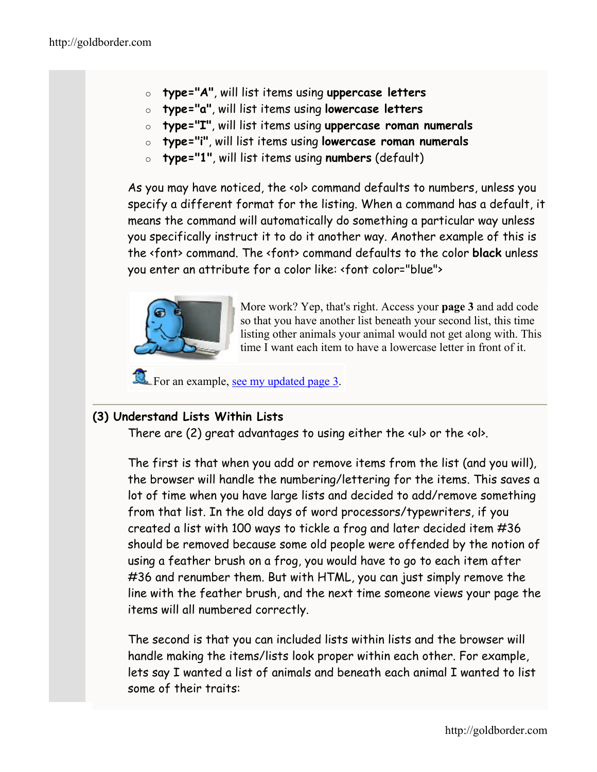- o **type="A"**, will list items using **uppercase letters**
- o **type="a"**, will list items using **lowercase letters**
- o **type="I"**, will list items using **uppercase roman numerals**
- o **type="i"**, will list items using **lowercase roman numerals**
- o **type="1"**, will list items using **numbers** (default)

As you may have noticed, the <ol> command defaults to numbers, unless you specify a different format for the listing. When a command has a default, it means the command will automatically do something a particular way unless you specifically instruct it to do it another way. Another example of this is the <font> command. The <font> command defaults to the color **black** unless you enter an attribute for a color like: <font color="blue">



More work? Yep, that's right. Access your **page 3** and add code so that you have another list beneath your second list, this time listing other animals your animal would not get along with. This time I want each item to have a lowercase letter in front of it.

For an example, [see my updated page 3](http://goldborder.com/htmlguide/dave3c.htm).

# **(3) Understand Lists Within Lists**

There are (2) great advantages to using either the <ul> or the <ol>.

The first is that when you add or remove items from the list (and you will), the browser will handle the numbering/lettering for the items. This saves a lot of time when you have large lists and decided to add/remove something from that list. In the old days of word processors/typewriters, if you created a list with 100 ways to tickle a frog and later decided item #36 should be removed because some old people were offended by the notion of using a feather brush on a frog, you would have to go to each item after #36 and renumber them. But with HTML, you can just simply remove the line with the feather brush, and the next time someone views your page the items will all numbered correctly.

The second is that you can included lists within lists and the browser will handle making the items/lists look proper within each other. For example, lets say I wanted a list of animals and beneath each animal I wanted to list some of their traits: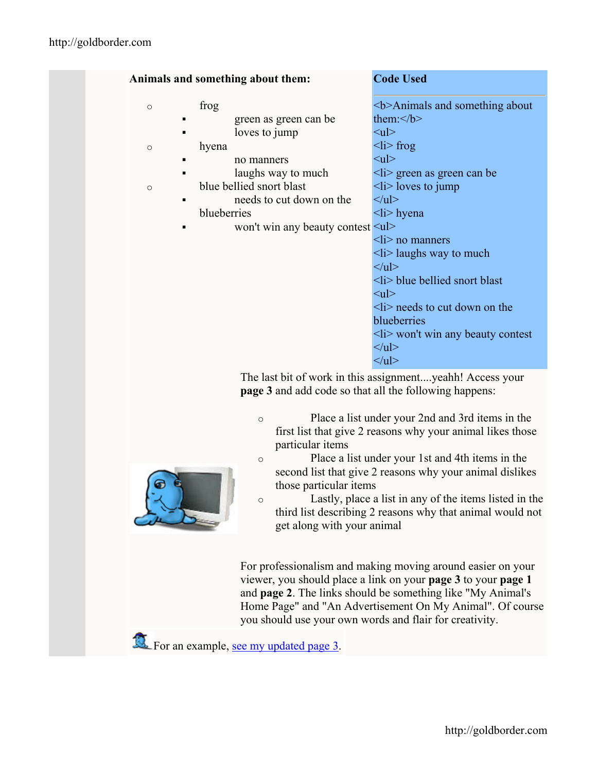|              | Animals and something about them:                                                                             | <b>Code Used</b>                                                                                                                                                                                                                                                                                                                           |
|--------------|---------------------------------------------------------------------------------------------------------------|--------------------------------------------------------------------------------------------------------------------------------------------------------------------------------------------------------------------------------------------------------------------------------------------------------------------------------------------|
| $\circ$      | frog<br>green as green can be<br>loves to jump                                                                | $5$ -Animals and something about<br>them: $<$ /b><br>$\langle ul \rangle$                                                                                                                                                                                                                                                                  |
| $\circ$      | hyena<br>no manners<br>laughs way to much                                                                     | $\langle$ li> frog<br>$\langle \text{ul} \rangle$<br>$\langle$ li> green as green can be                                                                                                                                                                                                                                                   |
| $\circ$<br>٠ | blue bellied snort blast<br>needs to cut down on the<br>blueberries<br>won't win any beauty contest <ul></ul> | $\langle$ li> loves to jump<br>$<$ /ul><br>$\langle i \rangle$ hyena<br>$\langle i \rangle$ no manners<br>$\langle$ li> laughs way to much<br>$<$ /ul><br>$\langle$ li $\rangle$ blue bellied snort blast<br>$<$ ul $>$<br>$\langle$ li> needs to cut down on the<br>blueberries<br>$\langle$ li> won't win any beauty contest<br>$<$ /ul> |
|              | <b>page 3</b> and add code so that all the following happens:                                                 | $<$ /ul><br>The last bit of work in this assignmentyeahh! Access your                                                                                                                                                                                                                                                                      |

- o Place a list under your 2nd and 3rd items in the first list that give 2 reasons why your animal likes those particular items
- o Place a list under your 1st and 4th items in the second list that give 2 reasons why your animal dislikes those particular items
- o Lastly, place a list in any of the items listed in the third list describing 2 reasons why that animal would not get along with your animal

For professionalism and making moving around easier on your viewer, you should place a link on your **page 3** to your **page 1** and **page 2**. The links should be something like "My Animal's Home Page" and "An Advertisement On My Animal". Of course you should use your own words and flair for creativity.

For an example, [see my updated page 3](http://goldborder.com/htmlguide/dave3d.htm).